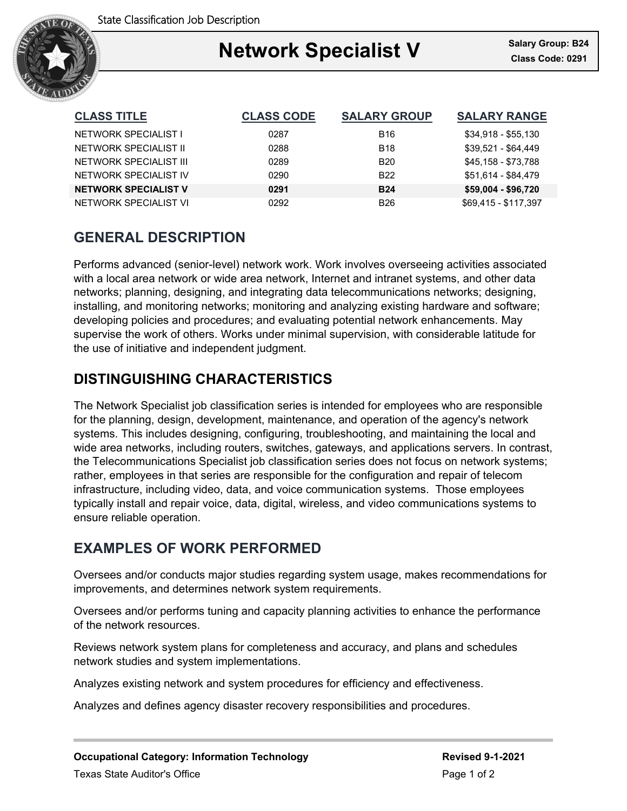

### Ξ **Network Specialist V Class Code: 0291**

| <b>CLASS TITLE</b>          | <b>CLASS CODE</b> | <b>SALARY GROUP</b> | <b>SALARY RANGE</b>  |
|-----------------------------|-------------------|---------------------|----------------------|
| NETWORK SPECIALIST I        | 0287              | <b>B16</b>          | \$34,918 - \$55,130  |
| NETWORK SPECIALIST II       | 0288              | <b>B18</b>          | $$39.521 - $64.449$  |
| NETWORK SPECIALIST III      | 0289              | <b>B20</b>          | \$45,158 - \$73,788  |
| NETWORK SPECIALIST IV       | 0290              | B <sub>22</sub>     | \$51,614 - \$84,479  |
| <b>NETWORK SPECIALIST V</b> | 0291              | <b>B24</b>          | \$59,004 - \$96,720  |
| NETWORK SPECIALIST VI       | 0292              | <b>B26</b>          | \$69,415 - \$117,397 |

# **GENERAL DESCRIPTION**

Performs advanced (senior-level) network work. Work involves overseeing activities associated with a local area network or wide area network, Internet and intranet systems, and other data networks; planning, designing, and integrating data telecommunications networks; designing, installing, and monitoring networks; monitoring and analyzing existing hardware and software; developing policies and procedures; and evaluating potential network enhancements. May supervise the work of others. Works under minimal supervision, with considerable latitude for the use of initiative and independent judgment.

## **DISTINGUISHING CHARACTERISTICS**

The Network Specialist job classification series is intended for employees who are responsible for the planning, design, development, maintenance, and operation of the agency's network systems. This includes designing, configuring, troubleshooting, and maintaining the local and wide area networks, including routers, switches, gateways, and applications servers. In contrast, the Telecommunications Specialist job classification series does not focus on network systems; rather, employees in that series are responsible for the configuration and repair of telecom infrastructure, including video, data, and voice communication systems. Those employees typically install and repair voice, data, digital, wireless, and video communications systems to ensure reliable operation.

## **EXAMPLES OF WORK PERFORMED**

Oversees and/or conducts major studies regarding system usage, makes recommendations for improvements, and determines network system requirements.

Oversees and/or performs tuning and capacity planning activities to enhance the performance of the network resources.

Reviews network system plans for completeness and accuracy, and plans and schedules network studies and system implementations.

Analyzes existing network and system procedures for efficiency and effectiveness.

Analyzes and defines agency disaster recovery responsibilities and procedures.